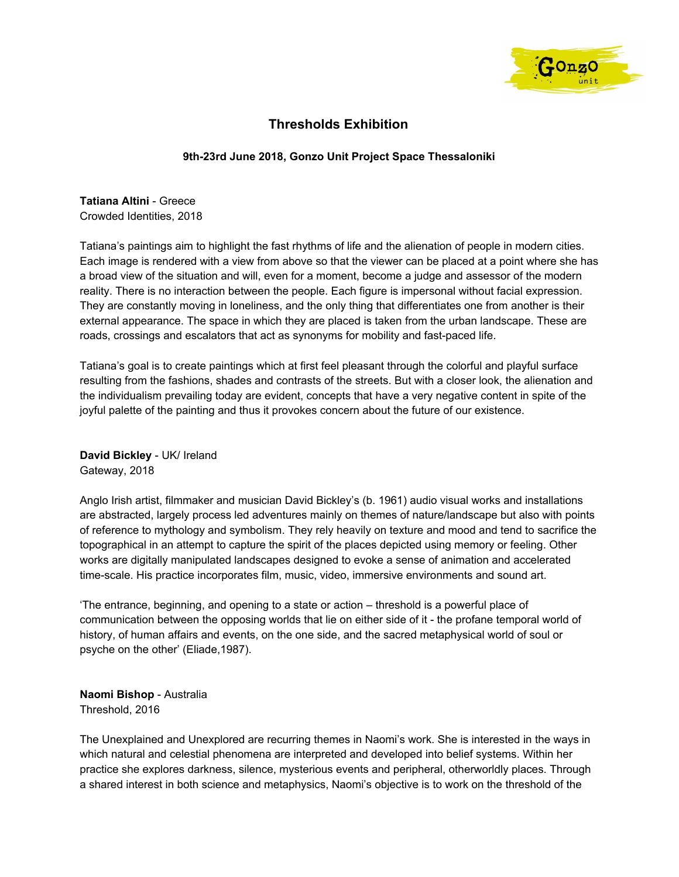

## **Thresholds Exhibition**

## **9th-23rd June 2018, Gonzo Unit Project Space Thessaloniki**

**Tatiana Altini** - Greece Crowded Identities, 2018

Tatiana's paintings aim to highlight the fast rhythms of life and the alienation of people in modern cities. Each image is rendered with a view from above so that the viewer can be placed at a point where she has a broad view of the situation and will, even for a moment, become a judge and assessor of the modern reality. There is no interaction between the people. Each figure is impersonal without facial expression. Τhey are constantly moving in loneliness, and the only thing that differentiates one from another is their external appearance. The space in which they are placed is taken from the urban landscape. These are roads, crossings and escalators that act as synonyms for mobility and fast-paced life.

Tatiana's goal is to create paintings which at first feel pleasant through the colorful and playful surface resulting from the fashions, shades and contrasts of the streets. But with a closer look, the alienation and the individualism prevailing today are evident, concepts that have a very negative content in spite of the joyful palette of the painting and thus it provokes concern about the future of our existence.

**David Bickley** - UK/ Ireland Gateway, 2018

Anglo Irish artist, filmmaker and musician David Bickley's (b. 1961) audio visual works and installations are abstracted, largely process led adventures mainly on themes of nature/landscape but also with points of reference to mythology and symbolism. They rely heavily on texture and mood and tend to sacrifice the topographical in an attempt to capture the spirit of the places depicted using memory or feeling. Other works are digitally manipulated landscapes designed to evoke a sense of animation and accelerated time-scale. His practice incorporates film, music, video, immersive environments and sound art.

'The entrance, beginning, and opening to a state or action – threshold is a powerful place of communication between the opposing worlds that lie on either side of it - the profane temporal world of history, of human affairs and events, on the one side, and the sacred metaphysical world of soul or psyche on the other' (Eliade,1987).

**Naomi Bishop** - Australia Threshold, 2016

The Unexplained and Unexplored are recurring themes in Naomi's work. She is interested in the ways in which natural and celestial phenomena are interpreted and developed into belief systems. Within her practice she explores darkness, silence, mysterious events and peripheral, otherworldly places. Through a shared interest in both science and metaphysics, Naomi's objective is to work on the threshold of the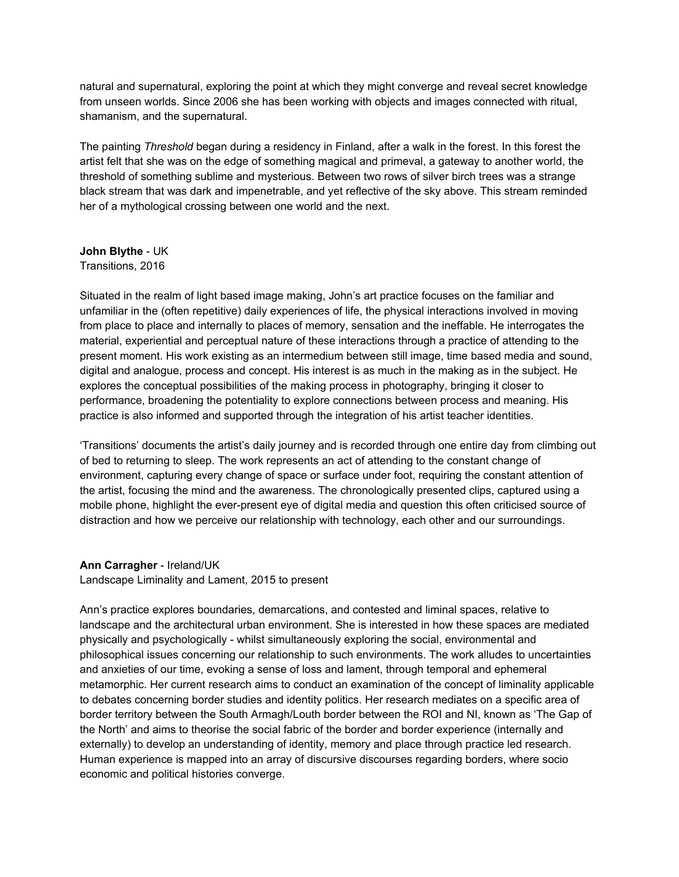natural and supernatural, exploring the point at which they might converge and reveal secret knowledge from unseen worlds. Since 2006 she has been working with objects and images connected with ritual, shamanism, and the supernatural.

The painting *Threshold* began during a residency in Finland, after a walk in the forest. In this forest the artist felt that she was on the edge of something magical and primeval, a gateway to another world, the threshold of something sublime and mysterious. Between two rows of silver birch trees was a strange black stream that was dark and impenetrable, and yet reflective of the sky above. This stream reminded her of a mythological crossing between one world and the next.

#### **John Blythe** - UK

#### Transitions, 2016

Situated in the realm of light based image making, John's art practice focuses on the familiar and unfamiliar in the (often repetitive) daily experiences of life, the physical interactions involved in moving from place to place and internally to places of memory, sensation and the ineffable. He interrogates the material, experiential and perceptual nature of these interactions through a practice of attending to the present moment. His work existing as an intermedium between still image, time based media and sound, digital and analogue, process and concept. His interest is as much in the making as in the subject. He explores the conceptual possibilities of the making process in photography, bringing it closer to performance, broadening the potentiality to explore connections between process and meaning. His practice is also informed and supported through the integration of his artist teacher identities.

'Transitions' documents the artist's daily journey and is recorded through one entire day from climbing out of bed to returning to sleep. The work represents an act of attending to the constant change of environment, capturing every change of space or surface under foot, requiring the constant attention of the artist, focusing the mind and the awareness. The chronologically presented clips, captured using a mobile phone, highlight the ever-present eye of digital media and question this often criticised source of distraction and how we perceive our relationship with technology, each other and our surroundings.

## **Ann Carragher** - Ireland/UK

Landscape Liminality and Lament, 2015 to present

Ann's practice explores boundaries, demarcations, and contested and liminal spaces, relative to landscape and the architectural urban environment. She is interested in how these spaces are mediated physically and psychologically - whilst simultaneously exploring the social, environmental and philosophical issues concerning our relationship to such environments. The work alludes to uncertainties and anxieties of our time, evoking a sense of loss and lament, through temporal and ephemeral metamorphic. Her current research aims to conduct an examination of the concept of liminality applicable to debates concerning border studies and identity politics. Her research mediates on a specific area of border territory between the South Armagh/Louth border between the ROI and NI, known as 'The Gap of the North' and aims to theorise the social fabric of the border and border experience (internally and externally) to develop an understanding of identity, memory and place through practice led research. Human experience is mapped into an array of discursive discourses regarding borders, where socio economic and political histories converge.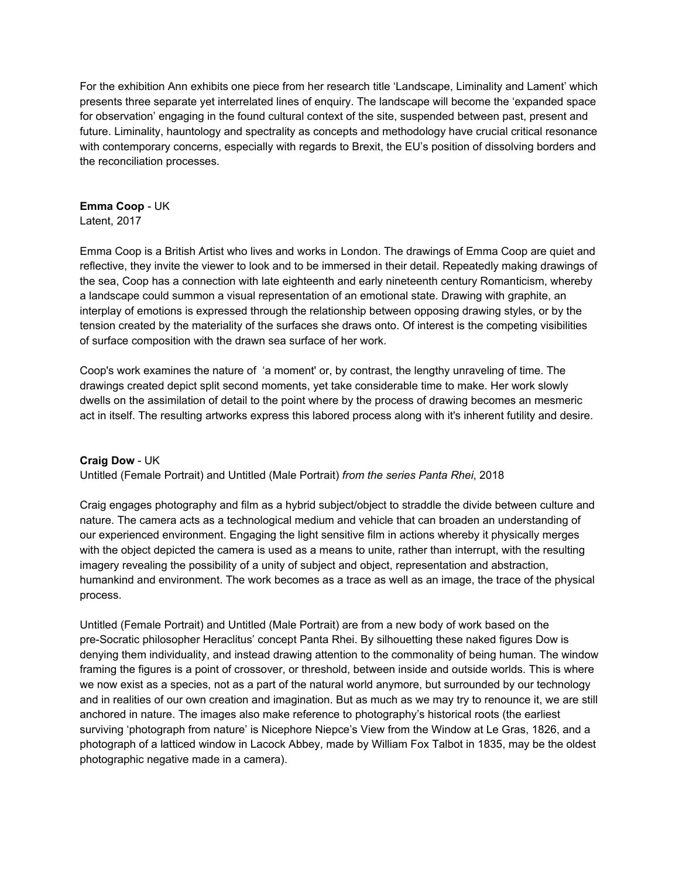For the exhibition Ann exhibits one piece from her research title 'Landscape, Liminality and Lament' which presents three separate yet interrelated lines of enquiry. The landscape will become the 'expanded space for observation' engaging in the found cultural context of the site, suspended between past, present and future. Liminality, hauntology and spectrality as concepts and methodology have crucial critical resonance with contemporary concerns, especially with regards to Brexit, the EU's position of dissolving borders and the reconciliation processes.

#### **Emma Coop** - UK Latent, 2017

Emma Coop is a British Artist who lives and works in London. The drawings of Emma Coop are quiet and reflective, they invite the viewer to look and to be immersed in their detail. Repeatedly making drawings of the sea, Coop has a connection with late eighteenth and early nineteenth century Romanticism, whereby a landscape could summon a visual representation of an emotional state. Drawing with graphite, an interplay of emotions is expressed through the relationship between opposing drawing styles, or by the tension created by the materiality of the surfaces she draws onto. Of interest is the competing visibilities of surface composition with the drawn sea surface of her work.

Coop's work examines the nature of 'a moment' or, by contrast, the lengthy unraveling of time. The drawings created depict split second moments, yet take considerable time to make. Her work slowly dwells on the assimilation of detail to the point where by the process of drawing becomes an mesmeric act in itself. The resulting artworks express this labored process along with it's inherent futility and desire.

## **Craig Dow** - UK

Untitled (Female Portrait) and Untitled (Male Portrait) *from the series Panta Rhei*, 2018

Craig engages photography and film as a hybrid subject/object to straddle the divide between culture and nature. The camera acts as a technological medium and vehicle that can broaden an understanding of our experienced environment. Engaging the light sensitive film in actions whereby it physically merges with the object depicted the camera is used as a means to unite, rather than interrupt, with the resulting imagery revealing the possibility of a unity of subject and object, representation and abstraction, humankind and environment. The work becomes as a trace as well as an image, the trace of the physical process.

Untitled (Female Portrait) and Untitled (Male Portrait) are from a new body of work based on the pre-Socratic philosopher Heraclitus' concept Panta Rhei. By silhouetting these naked figures Dow is denying them individuality, and instead drawing attention to the commonality of being human. The window framing the figures is a point of crossover, or threshold, between inside and outside worlds. This is where we now exist as a species, not as a part of the natural world anymore, but surrounded by our technology and in realities of our own creation and imagination. But as much as we may try to renounce it, we are still anchored in nature. The images also make reference to photography's historical roots (the earliest surviving 'photograph from nature' is Nicephore Niepce's View from the Window at Le Gras, 1826, and a photograph of a latticed window in Lacock Abbey, made by William Fox Talbot in 1835, may be the oldest photographic negative made in a camera).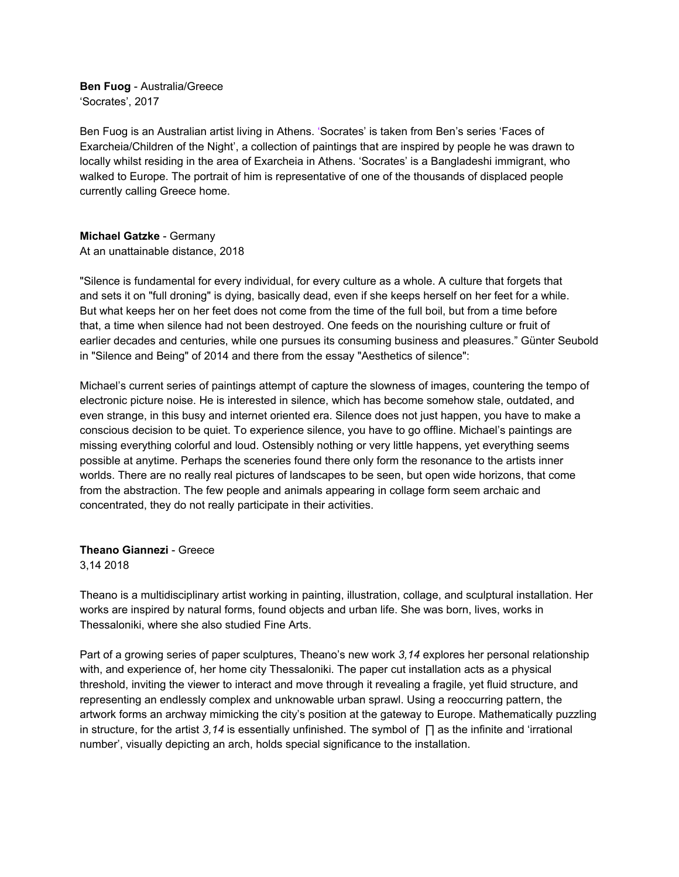**Ben Fuog** - Australia/Greece 'Socrates', 2017

Ben Fuog is an Australian artist living in Athens. 'Socrates' is taken from Ben's series 'Faces of Exarcheia/Children of the Night', a collection of paintings that are inspired by people he was drawn to locally whilst residing in the area of Exarcheia in Athens. 'Socrates' is a Bangladeshi immigrant, who walked to Europe. The portrait of him is representative of one of the thousands of displaced people currently calling Greece home.

#### **Michael Gatzke** - Germany At an unattainable distance, 2018

"Silence is fundamental for every individual, for every culture as a whole. A culture that forgets that and sets it on "full droning" is dying, basically dead, even if she keeps herself on her feet for a while. But what keeps her on her feet does not come from the time of the full boil, but from a time before that, a time when silence had not been destroyed. One feeds on the nourishing culture or fruit of earlier decades and centuries, while one pursues its consuming business and pleasures." Günter Seubold in "Silence and Being" of 2014 and there from the essay "Aesthetics of silence":

Michael's current series of paintings attempt of capture the slowness of images, countering the tempo of electronic picture noise. He is interested in silence, which has become somehow stale, outdated, and even strange, in this busy and internet oriented era. Silence does not just happen, you have to make a conscious decision to be quiet. To experience silence, you have to go offline. Michael's paintings are missing everything colorful and loud. Ostensibly nothing or very little happens, yet everything seems possible at anytime. Perhaps the sceneries found there only form the resonance to the artists inner worlds. There are no really real pictures of landscapes to be seen, but open wide horizons, that come from the abstraction. The few people and animals appearing in collage form seem archaic and concentrated, they do not really participate in their activities.

# **Theano Giannezi** - Greece

3,14 2018

Theano is a multidisciplinary artist working in painting, illustration, collage, and sculptural installation. Her works are inspired by natural forms, found objects and urban life. She was born, lives, works in Thessaloniki, where she also studied Fine Arts.

Part of a growing series of paper sculptures, Theano's new work *3,14* explores her personal relationship with, and experience of, her home city Thessaloniki. The paper cut installation acts as a physical threshold, inviting the viewer to interact and move through it revealing a fragile, yet fluid structure, and representing an endlessly complex and unknowable urban sprawl. Using a reoccurring pattern, the artwork forms an archway mimicking the city's position at the gateway to Europe. Mathematically puzzling in structure, for the artist *3,14* is essentially unfinished. The symbol of ∏ as the infinite and 'irrational number', visually depicting an arch, holds special significance to the installation.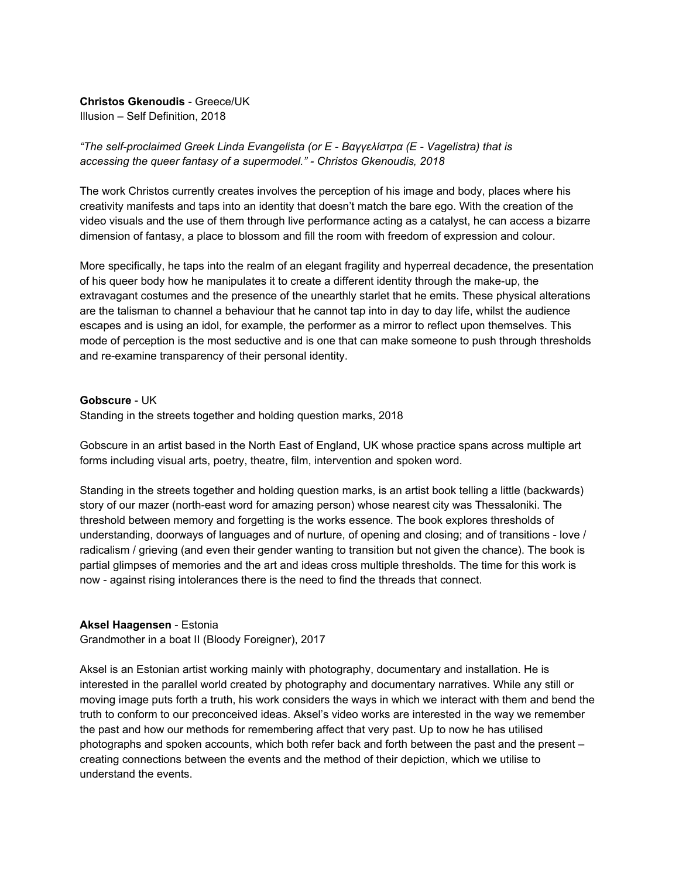## **Christos Gkenoudis** - Greece/UK

Illusion – Self Definition, 2018

## *"The self-proclaimed Greek Linda Evangelista (or Ε - Βαγγελίστρα (E - Vagelistra) that is accessing the queer fantasy of a supermodel." - Christos Gkenoudis, 2018*

The work Christos currently creates involves the perception of his image and body, places where his creativity manifests and taps into an identity that doesn't match the bare ego. With the creation of the video visuals and the use of them through live performance acting as a catalyst, he can access a bizarre dimension of fantasy, a place to blossom and fill the room with freedom of expression and colour.

More specifically, he taps into the realm of an elegant fragility and hyperreal decadence, the presentation of his queer body how he manipulates it to create a different identity through the make-up, the extravagant costumes and the presence of the unearthly starlet that he emits. These physical alterations are the talisman to channel a behaviour that he cannot tap into in day to day life, whilst the audience escapes and is using an idol, for example, the performer as a mirror to reflect upon themselves. This mode of perception is the most seductive and is one that can make someone to push through thresholds and re-examine transparency of their personal identity.

#### **Gobscure** - UK

Standing in the streets together and holding question marks, 2018

Gobscure in an artist based in the North East of England, UK whose practice spans across multiple art forms including visual arts, poetry, theatre, film, intervention and spoken word.

Standing in the streets together and holding question marks, is an artist book telling a little (backwards) story of our mazer (north-east word for amazing person) whose nearest city was Thessaloniki. The threshold between memory and forgetting is the works essence. The book explores thresholds of understanding, doorways of languages and of nurture, of opening and closing; and of transitions - love / radicalism / grieving (and even their gender wanting to transition but not given the chance). The book is partial glimpses of memories and the art and ideas cross multiple thresholds. The time for this work is now - against rising intolerances there is the need to find the threads that connect.

## **Aksel Haagensen** - Estonia

Grandmother in a boat II (Bloody Foreigner), 2017

Aksel is an Estonian artist working mainly with photography, documentary and installation. He is interested in the parallel world created by photography and documentary narratives. While any still or moving image puts forth a truth, his work considers the ways in which we interact with them and bend the truth to conform to our preconceived ideas. Aksel's video works are interested in the way we remember the past and how our methods for remembering affect that very past. Up to now he has utilised photographs and spoken accounts, which both refer back and forth between the past and the present – creating connections between the events and the method of their depiction, which we utilise to understand the events.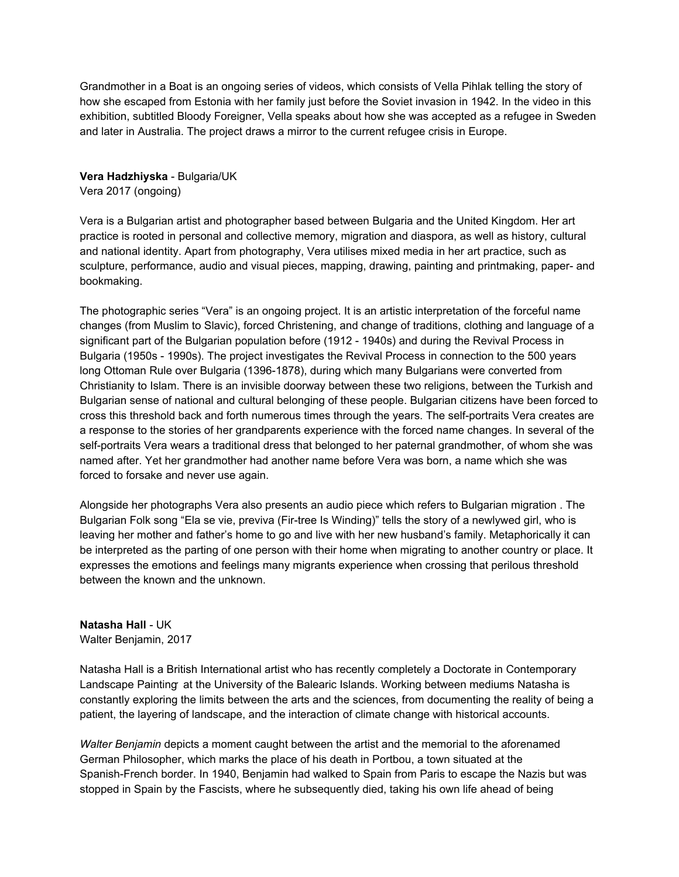Grandmother in a Boat is an ongoing series of videos, which consists of Vella Pihlak telling the story of how she escaped from Estonia with her family just before the Soviet invasion in 1942. In the video in this exhibition, subtitled Bloody Foreigner, Vella speaks about how she was accepted as a refugee in Sweden and later in Australia. The project draws a mirror to the current refugee crisis in Europe.

**Vera Hadzhiyska** - Bulgaria/UK Vera 2017 (ongoing)

Vera is a Bulgarian artist and photographer based between Bulgaria and the United Kingdom. Her art practice is rooted in personal and collective memory, migration and diaspora, as well as history, cultural and national identity. Apart from photography, Vera utilises mixed media in her art practice, such as sculpture, performance, audio and visual pieces, mapping, drawing, painting and printmaking, paper- and bookmaking.

The photographic series "Vera" is an ongoing project. It is an artistic interpretation of the forceful name changes (from Muslim to Slavic), forced Christening, and change of traditions, clothing and language of a significant part of the Bulgarian population before (1912 - 1940s) and during the Revival Process in Bulgaria (1950s - 1990s). The project investigates the Revival Process in connection to the 500 years long Ottoman Rule over Bulgaria (1396-1878), during which many Bulgarians were converted from Christianity to Islam. There is an invisible doorway between these two religions, between the Turkish and Bulgarian sense of national and cultural belonging of these people. Bulgarian citizens have been forced to cross this threshold back and forth numerous times through the years. The self-portraits Vera creates are a response to the stories of her grandparents experience with the forced name changes. In several of the self-portraits Vera wears a traditional dress that belonged to her paternal grandmother, of whom she was named after. Yet her grandmother had another name before Vera was born, a name which she was forced to forsake and never use again.

Alongside her photographs Vera also presents an audio piece which refers to Bulgarian migration . The Bulgarian Folk song "Ela se vie, previva (Fir-tree Is Winding)" tells the story of a newlywed girl, who is leaving her mother and father's home to go and live with her new husband's family. Metaphorically it can be interpreted as the parting of one person with their home when migrating to another country or place. It expresses the emotions and feelings many migrants experience when crossing that perilous threshold between the known and the unknown.

#### **Natasha Hall** - UK Walter Benjamin, 2017

Natasha Hall is a British International artist who has recently completely a Doctorate in Contemporary Landscape Painting at the University of the Balearic Islands. Working between mediums Natasha is constantly exploring the limits between the arts and the sciences, from documenting the reality of being a patient, the layering of landscape, and the interaction of climate change with historical accounts.

*Walter Benjamin* depicts a moment caught between the artist and the memorial to the aforenamed German Philosopher, which marks the place of his death in Portbou, a town situated at the Spanish-French border. In 1940, Benjamin had walked to Spain from Paris to escape the Nazis but was stopped in Spain by the Fascists, where he subsequently died, taking his own life ahead of being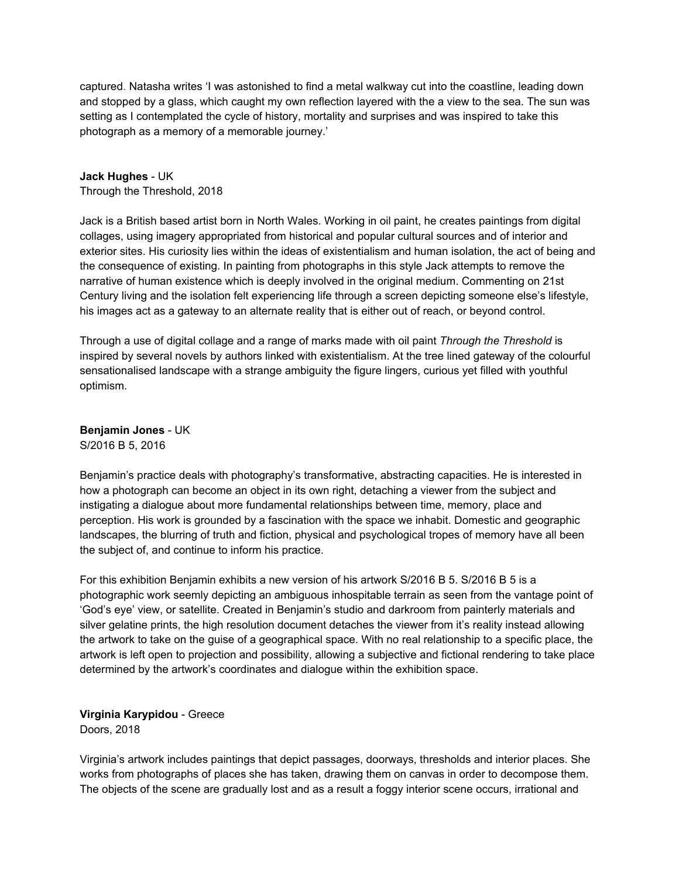captured. Natasha writes 'I was astonished to find a metal walkway cut into the coastline, leading down and stopped by a glass, which caught my own reflection layered with the a view to the sea. The sun was setting as I contemplated the cycle of history, mortality and surprises and was inspired to take this photograph as a memory of a memorable journey.'

#### **Jack Hughes** - UK

Through the Threshold, 2018

Jack is a British based artist born in North Wales. Working in oil paint, he creates paintings from digital collages, using imagery appropriated from historical and popular cultural sources and of interior and exterior sites. His curiosity lies within the ideas of existentialism and human isolation, the act of being and the consequence of existing. In painting from photographs in this style Jack attempts to remove the narrative of human existence which is deeply involved in the original medium. Commenting on 21st Century living and the isolation felt experiencing life through a screen depicting someone else's lifestyle, his images act as a gateway to an alternate reality that is either out of reach, or beyond control.

Through a use of digital collage and a range of marks made with oil paint *Through the Threshold* is inspired by several novels by authors linked with existentialism. At the tree lined gateway of the colourful sensationalised landscape with a strange ambiguity the figure lingers, curious yet filled with youthful optimism.

**Benjamin Jones** - UK S/2016 B 5, 2016

Benjamin's practice deals with photography's transformative, abstracting capacities. He is interested in how a photograph can become an object in its own right, detaching a viewer from the subject and instigating a dialogue about more fundamental relationships between time, memory, place and perception. His work is grounded by a fascination with the space we inhabit. Domestic and geographic landscapes, the blurring of truth and fiction, physical and psychological tropes of memory have all been the subject of, and continue to inform his practice.

For this exhibition Benjamin exhibits a new version of his artwork S/2016 B 5. S/2016 B 5 is a photographic work seemly depicting an ambiguous inhospitable terrain as seen from the vantage point of 'God's eye' view, or satellite. Created in Benjamin's studio and darkroom from painterly materials and silver gelatine prints, the high resolution document detaches the viewer from it's reality instead allowing the artwork to take on the guise of a geographical space. With no real relationship to a specific place, the artwork is left open to projection and possibility, allowing a subjective and fictional rendering to take place determined by the artwork's coordinates and dialogue within the exhibition space.

## **Virginia Karypidou** - Greece Doors, 2018

Virginia's artwork includes paintings that depict passages, doorways, thresholds and interior places. She works from photographs of places she has taken, drawing them on canvas in order to decompose them. The objects of the scene are gradually lost and as a result a foggy interior scene occurs, irrational and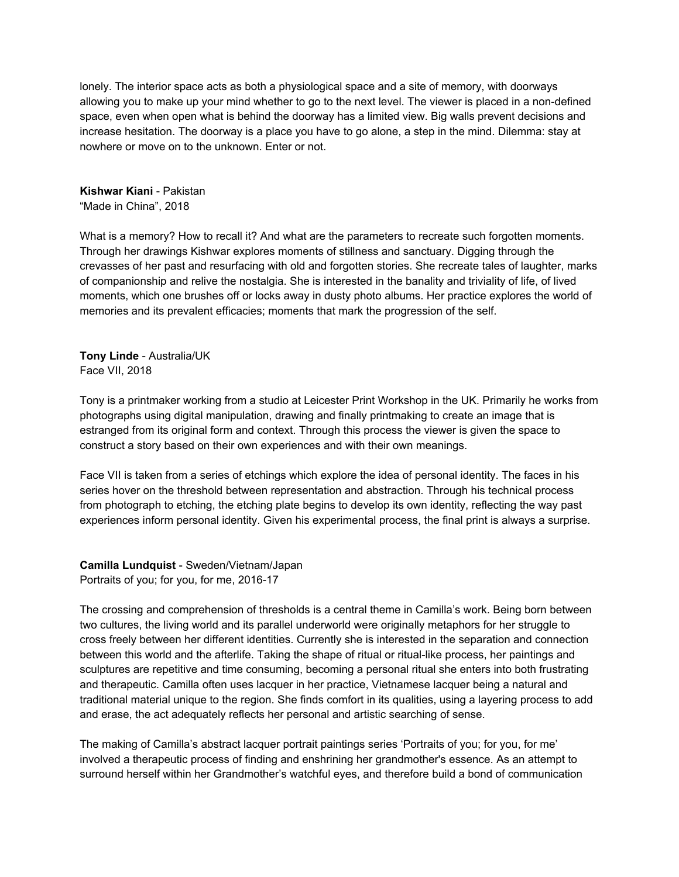lonely. The interior space acts as both a physiological space and a site of memory, with doorways allowing you to make up your mind whether to go to the next level. The viewer is placed in a non-defined space, even when open what is behind the doorway has a limited view. Big walls prevent decisions and increase hesitation. The doorway is a place you have to go alone, a step in the mind. Dilemma: stay at nowhere or move on to the unknown. Enter or not.

**Kishwar Kiani** - Pakistan "Made in China", 2018

What is a memory? How to recall it? And what are the parameters to recreate such forgotten moments. Through her drawings Kishwar explores moments of stillness and sanctuary. Digging through the crevasses of her past and resurfacing with old and forgotten stories. She recreate tales of laughter, marks of companionship and relive the nostalgia. She is interested in the banality and triviality of life, of lived moments, which one brushes off or locks away in dusty photo albums. Her practice explores the world of memories and its prevalent efficacies; moments that mark the progression of the self.

**Tony Linde** - Australia/UK Face VII, 2018

Tony is a printmaker working from a studio at Leicester Print Workshop in the UK. Primarily he works from photographs using digital manipulation, drawing and finally printmaking to create an image that is estranged from its original form and context. Through this process the viewer is given the space to construct a story based on their own experiences and with their own meanings.

Face VII is taken from a series of etchings which explore the idea of personal identity. The faces in his series hover on the threshold between representation and abstraction. Through his technical process from photograph to etching, the etching plate begins to develop its own identity, reflecting the way past experiences inform personal identity. Given his experimental process, the final print is always a surprise.

**Camilla Lundquist** - Sweden/Vietnam/Japan Portraits of you; for you, for me, 2016-17

The crossing and comprehension of thresholds is a central theme in Camilla's work. Being born between two cultures, the living world and its parallel underworld were originally metaphors for her struggle to cross freely between her different identities. Currently she is interested in the separation and connection between this world and the afterlife. Taking the shape of ritual or ritual-like process, her paintings and sculptures are repetitive and time consuming, becoming a personal ritual she enters into both frustrating and therapeutic. Camilla often uses lacquer in her practice, Vietnamese lacquer being a natural and traditional material unique to the region. She finds comfort in its qualities, using a layering process to add and erase, the act adequately reflects her personal and artistic searching of sense.

The making of Camilla's abstract lacquer portrait paintings series 'Portraits of you; for you, for me' involved a therapeutic process of finding and enshrining her grandmother's essence. As an attempt to surround herself within her Grandmother's watchful eyes, and therefore build a bond of communication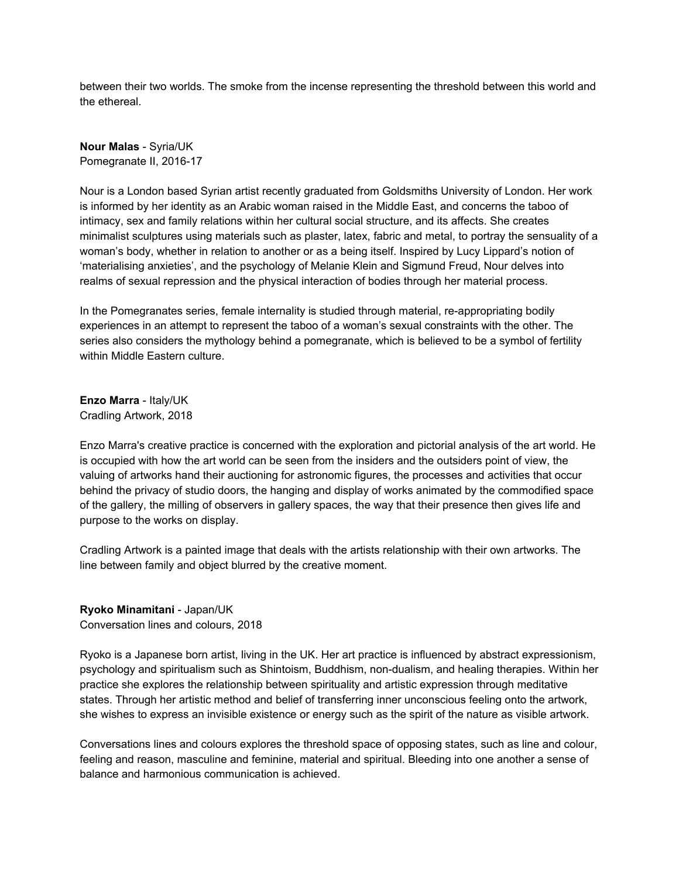between their two worlds. The smoke from the incense representing the threshold between this world and the ethereal.

**Nour Malas** - Syria/UK Pomegranate II, 2016-17

Nour is a London based Syrian artist recently graduated from Goldsmiths University of London. Her work is informed by her identity as an Arabic woman raised in the Middle East, and concerns the taboo of intimacy, sex and family relations within her cultural social structure, and its affects. She creates minimalist sculptures using materials such as plaster, latex, fabric and metal, to portray the sensuality of a woman's body, whether in relation to another or as a being itself. Inspired by Lucy Lippard's notion of 'materialising anxieties', and the psychology of Melanie Klein and Sigmund Freud, Nour delves into realms of sexual repression and the physical interaction of bodies through her material process.

In the Pomegranates series, female internality is studied through material, re-appropriating bodily experiences in an attempt to represent the taboo of a woman's sexual constraints with the other. The series also considers the mythology behind a pomegranate, which is believed to be a symbol of fertility within Middle Eastern culture.

**Enzo Marra** - Italy/UK Cradling Artwork, 2018

Enzo Marra's creative practice is concerned with the exploration and pictorial analysis of the art world. He is occupied with how the art world can be seen from the insiders and the outsiders point of view, the valuing of artworks hand their auctioning for astronomic figures, the processes and activities that occur behind the privacy of studio doors, the hanging and display of works animated by the commodified space of the gallery, the milling of observers in gallery spaces, the way that their presence then gives life and purpose to the works on display.

Cradling Artwork is a painted image that deals with the artists relationship with their own artworks. The line between family and object blurred by the creative moment.

**Ryoko Minamitani** - Japan/UK Conversation lines and colours, 2018

Ryoko is a Japanese born artist, living in the UK. Her art practice is influenced by abstract expressionism, psychology and spiritualism such as Shintoism, Buddhism, non-dualism, and healing therapies. Within her practice she explores the relationship between spirituality and artistic expression through meditative states. Through her artistic method and belief of transferring inner unconscious feeling onto the artwork, she wishes to express an invisible existence or energy such as the spirit of the nature as visible artwork.

Conversations lines and colours explores the threshold space of opposing states, such as line and colour, feeling and reason, masculine and feminine, material and spiritual. Bleeding into one another a sense of balance and harmonious communication is achieved.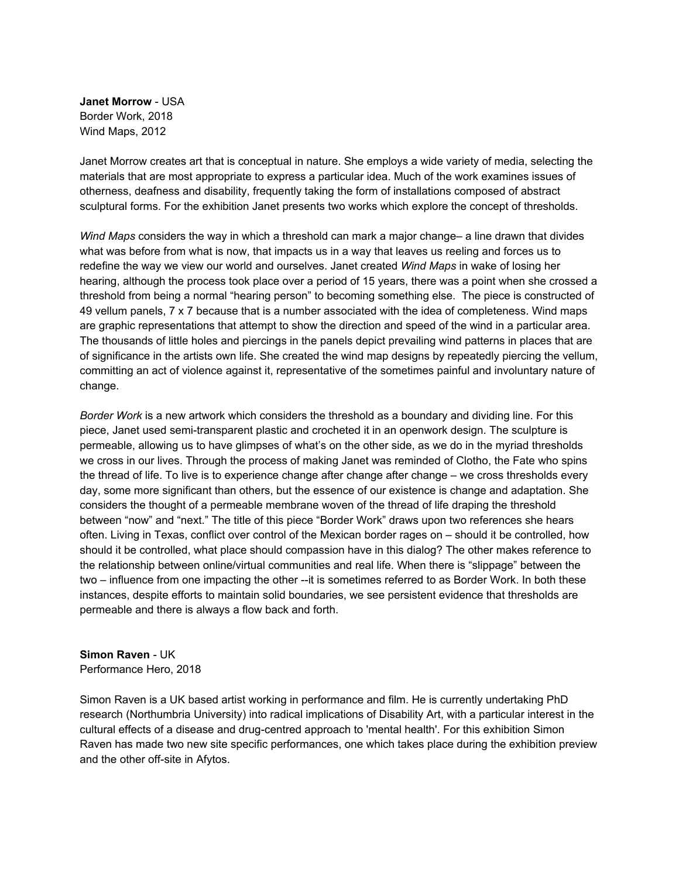**Janet Morrow** - USA Border Work, 2018 Wind Maps, 2012

Janet Morrow creates art that is conceptual in nature. She employs a wide variety of media, selecting the materials that are most appropriate to express a particular idea. Much of the work examines issues of otherness, deafness and disability, frequently taking the form of installations composed of abstract sculptural forms. For the exhibition Janet presents two works which explore the concept of thresholds.

*Wind Maps* considers the way in which a threshold can mark a major change– a line drawn that divides what was before from what is now, that impacts us in a way that leaves us reeling and forces us to redefine the way we view our world and ourselves. Janet created *Wind Maps* in wake of losing her hearing, although the process took place over a period of 15 years, there was a point when she crossed a threshold from being a normal "hearing person" to becoming something else. The piece is constructed of 49 vellum panels, 7 x 7 because that is a number associated with the idea of completeness. Wind maps are graphic representations that attempt to show the direction and speed of the wind in a particular area. The thousands of little holes and piercings in the panels depict prevailing wind patterns in places that are of significance in the artists own life. She created the wind map designs by repeatedly piercing the vellum, committing an act of violence against it, representative of the sometimes painful and involuntary nature of change.

*Border Work* is a new artwork which considers the threshold as a boundary and dividing line. For this piece, Janet used semi-transparent plastic and crocheted it in an openwork design. The sculpture is permeable, allowing us to have glimpses of what's on the other side, as we do in the myriad thresholds we cross in our lives. Through the process of making Janet was reminded of Clotho, the Fate who spins the thread of life. To live is to experience change after change after change – we cross thresholds every day, some more significant than others, but the essence of our existence is change and adaptation. She considers the thought of a permeable membrane woven of the thread of life draping the threshold between "now" and "next." The title of this piece "Border Work" draws upon two references she hears often. Living in Texas, conflict over control of the Mexican border rages on – should it be controlled, how should it be controlled, what place should compassion have in this dialog? The other makes reference to the relationship between online/virtual communities and real life. When there is "slippage" between the two – influence from one impacting the other --it is sometimes referred to as Border Work. In both these instances, despite efforts to maintain solid boundaries, we see persistent evidence that thresholds are permeable and there is always a flow back and forth.

**Simon Raven** - UK Performance Hero, 2018

Simon Raven is a UK based artist working in performance and film. He is currently undertaking PhD research (Northumbria University) into radical implications of Disability Art, with a particular interest in the cultural effects of a disease and drug-centred approach to 'mental health'. For this exhibition Simon Raven has made two new site specific performances, one which takes place during the exhibition preview and the other off-site in Afytos.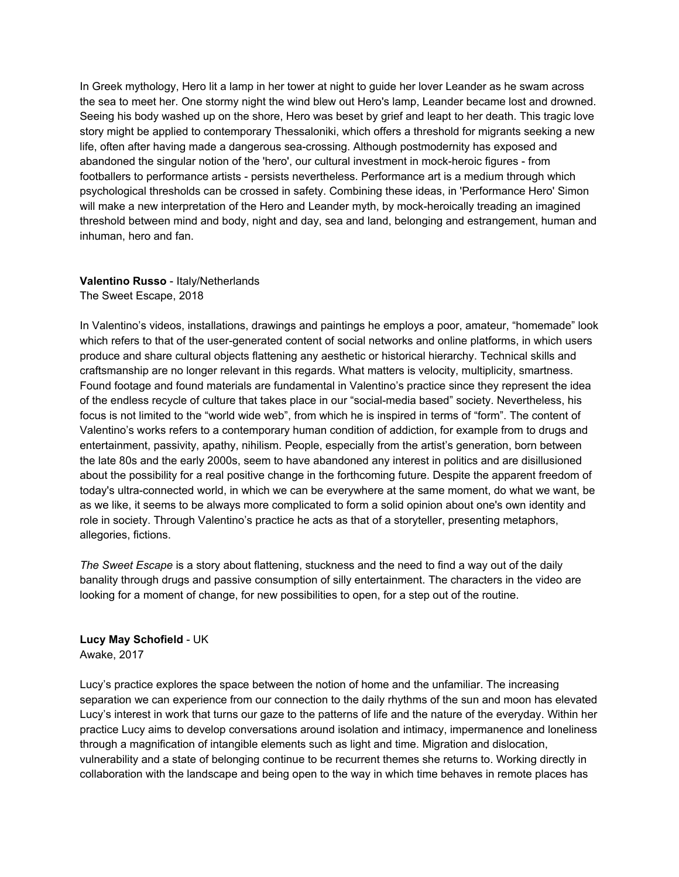In Greek mythology, Hero lit a lamp in her tower at night to guide her lover Leander as he swam across the sea to meet her. One stormy night the wind blew out Hero's lamp, Leander became lost and drowned. Seeing his body washed up on the shore, Hero was beset by grief and leapt to her death. This tragic love story might be applied to contemporary Thessaloniki, which offers a threshold for migrants seeking a new life, often after having made a dangerous sea-crossing. Although postmodernity has exposed and abandoned the singular notion of the 'hero', our cultural investment in mock-heroic figures - from footballers to performance artists - persists nevertheless. Performance art is a medium through which psychological thresholds can be crossed in safety. Combining these ideas, in 'Performance Hero' Simon will make a new interpretation of the Hero and Leander myth, by mock-heroically treading an imagined threshold between mind and body, night and day, sea and land, belonging and estrangement, human and inhuman, hero and fan.

## **Valentino Russo** - Italy/Netherlands The Sweet Escape, 2018

In Valentino's videos, installations, drawings and paintings he employs a poor, amateur, "homemade" look which refers to that of the user-generated content of social networks and online platforms, in which users produce and share cultural objects flattening any aesthetic or historical hierarchy. Technical skills and craftsmanship are no longer relevant in this regards. What matters is velocity, multiplicity, smartness. Found footage and found materials are fundamental in Valentino's practice since they represent the idea of the endless recycle of culture that takes place in our "social-media based" society. Nevertheless, his focus is not limited to the "world wide web", from which he is inspired in terms of "form". The content of Valentino's works refers to a contemporary human condition of addiction, for example from to drugs and entertainment, passivity, apathy, nihilism. People, especially from the artist's generation, born between the late 80s and the early 2000s, seem to have abandoned any interest in politics and are disillusioned about the possibility for a real positive change in the forthcoming future. Despite the apparent freedom of today's ultra-connected world, in which we can be everywhere at the same moment, do what we want, be as we like, it seems to be always more complicated to form a solid opinion about one's own identity and role in society. Through Valentino's practice he acts as that of a storyteller, presenting metaphors, allegories, fictions.

*The Sweet Escape* is a story about flattening, stuckness and the need to find a way out of the daily banality through drugs and passive consumption of silly entertainment. The characters in the video are looking for a moment of change, for new possibilities to open, for a step out of the routine.

**Lucy May Schofield** - UK Awake, 2017

Lucy's practice explores the space between the notion of home and the unfamiliar. The increasing separation we can experience from our connection to the daily rhythms of the sun and moon has elevated Lucy's interest in work that turns our gaze to the patterns of life and the nature of the everyday. Within her practice Lucy aims to develop conversations around isolation and intimacy, impermanence and loneliness through a magnification of intangible elements such as light and time. Migration and dislocation, vulnerability and a state of belonging continue to be recurrent themes she returns to. Working directly in collaboration with the landscape and being open to the way in which time behaves in remote places has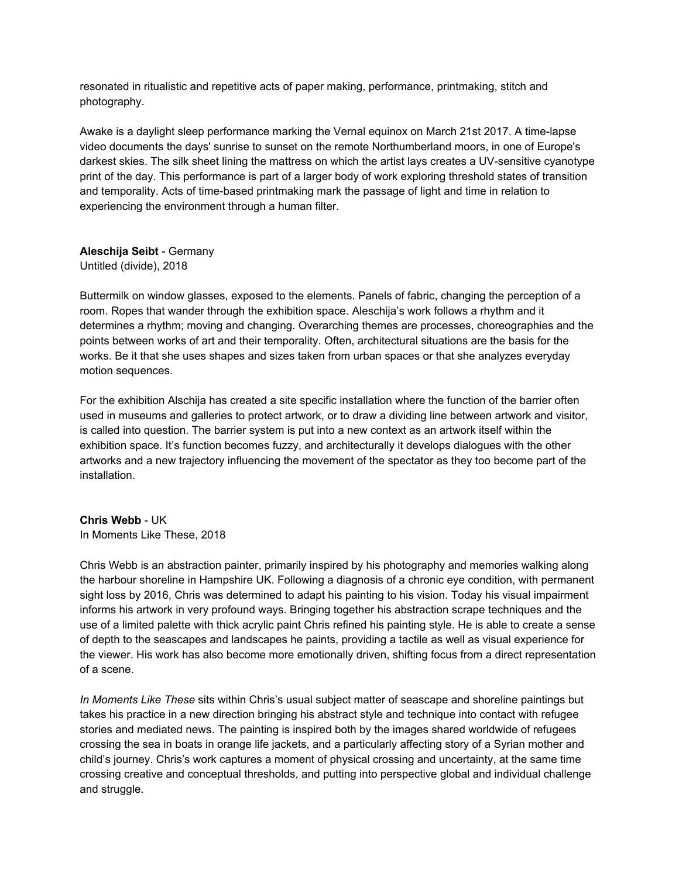resonated in ritualistic and repetitive acts of paper making, performance, printmaking, stitch and photography.

Awake is a daylight sleep performance marking the Vernal equinox on March 21st 2017. A time-lapse video documents the days' sunrise to sunset on the remote Northumberland moors, in one of Europe's darkest skies. The silk sheet lining the mattress on which the artist lays creates a UV-sensitive cyanotype print of the day. This performance is part of a larger body of work exploring threshold states of transition and temporality. Acts of time-based printmaking mark the passage of light and time in relation to experiencing the environment through a human filter.

#### **Aleschija Seibt** - Germany Untitled (divide), 2018

Buttermilk on window glasses, exposed to the elements. Panels of fabric, changing the perception of a room. Ropes that wander through the exhibition space. Aleschija's work follows a rhythm and it determines a rhythm; moving and changing. Overarching themes are processes, choreographies and the points between works of art and their temporality. Often, architectural situations are the basis for the works. Be it that she uses shapes and sizes taken from urban spaces or that she analyzes everyday motion sequences.

For the exhibition Alschija has created a site specific installation where the function of the barrier often used in museums and galleries to protect artwork, or to draw a dividing line between artwork and visitor, is called into question. The barrier system is put into a new context as an artwork itself within the exhibition space. It's function becomes fuzzy, and architecturally it develops dialogues with the other artworks and a new trajectory influencing the movement of the spectator as they too become part of the installation.

## **Chris Webb** - UK

In Moments Like These, 2018

Chris Webb is an abstraction painter, primarily inspired by his photography and memories walking along the harbour shoreline in Hampshire UK. Following a diagnosis of a chronic eye condition, with permanent sight loss by 2016, Chris was determined to adapt his painting to his vision. Today his visual impairment informs his artwork in very profound ways. Bringing together his abstraction scrape techniques and the use of a limited palette with thick acrylic paint Chris refined his painting style. He is able to create a sense of depth to the seascapes and landscapes he paints, providing a tactile as well as visual experience for the viewer. His work has also become more emotionally driven, shifting focus from a direct representation of a scene.

*In Moments Like These* sits within Chris's usual subject matter of seascape and shoreline paintings but takes his practice in a new direction bringing his abstract style and technique into contact with refugee stories and mediated news. The painting is inspired both by the images shared worldwide of refugees crossing the sea in boats in orange life jackets, and a particularly affecting story of a Syrian mother and child's journey. Chris's work captures a moment of physical crossing and uncertainty, at the same time crossing creative and conceptual thresholds, and putting into perspective global and individual challenge and struggle.